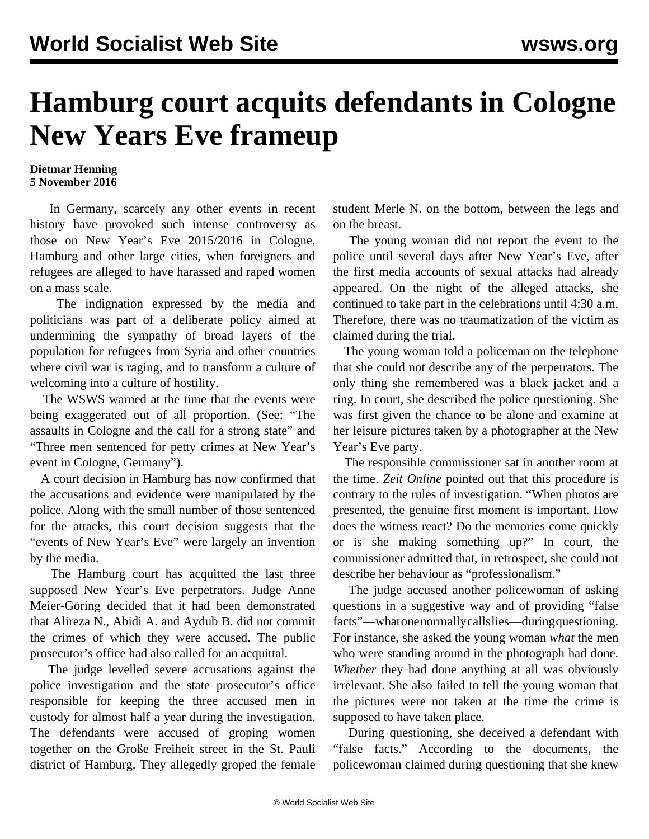## **Hamburg court acquits defendants in Cologne New Years Eve frameup**

## **Dietmar Henning 5 November 2016**

 In Germany, scarcely any other events in recent history have provoked such intense controversy as those on New Year's Eve 2015/2016 in Cologne, Hamburg and other large cities, when foreigners and refugees are alleged to have harassed and raped women on a mass scale.

 The indignation expressed by the media and politicians was part of a deliberate policy aimed at undermining the sympathy of broad layers of the population for refugees from Syria and other countries where civil war is raging, and to transform a culture of welcoming into a culture of hostility.

 The WSWS warned at the time that the events were being exaggerated out of all proportion. (See: "[The](/en/articles/2016/01/09/colo-j09.html) [assaults in Cologne and the call for a strong state](/en/articles/2016/01/09/colo-j09.html)" and "[Three men sentenced for petty crimes at New Year's](/en/articles/2016/03/08/colo-m08.html) [event in Cologne, Germany"](/en/articles/2016/03/08/colo-m08.html)).

 A court decision in Hamburg has now confirmed that the accusations and evidence were manipulated by the police. Along with the small number of those sentenced for the attacks, this court decision suggests that the "events of New Year's Eve" were largely an invention by the media.

 The Hamburg court has acquitted the last three supposed New Year's Eve perpetrators. Judge Anne Meier-Göring decided that it had been demonstrated that Alireza N., Abidi A. and Aydub B. did not commit the crimes of which they were accused. The public prosecutor's office had also called for an acquittal.

 The judge levelled severe accusations against the police investigation and the state prosecutor's office responsible for keeping the three accused men in custody for almost half a year during the investigation. The defendants were accused of groping women together on the Große Freiheit street in the St. Pauli district of Hamburg. They allegedly groped the female student Merle N. on the bottom, between the legs and on the breast.

 The young woman did not report the event to the police until several days after New Year's Eve, after the first media accounts of sexual attacks had already appeared. On the night of the alleged attacks, she continued to take part in the celebrations until 4:30 a.m. Therefore, there was no traumatization of the victim as claimed during the trial.

 The young woman told a policeman on the telephone that she could not describe any of the perpetrators. The only thing she remembered was a black jacket and a ring. In court, she described the police questioning. She was first given the chance to be alone and examine at her leisure pictures taken by a photographer at the New Year's Eve party.

 The responsible commissioner sat in another room at the time. *Zeit Online* pointed out that this procedure is contrary to the rules of investigation. "When photos are presented, the genuine first moment is important. How does the witness react? Do the memories come quickly or is she making something up?" In court, the commissioner admitted that, in retrospect, she could not describe her behaviour as "professionalism."

 The judge accused another policewoman of asking questions in a suggestive way and of providing "false facts"—what one normally calls lies—during questioning. For instance, she asked the young woman *what* the men who were standing around in the photograph had done. *Whether* they had done anything at all was obviously irrelevant. She also failed to tell the young woman that the pictures were not taken at the time the crime is supposed to have taken place.

 During questioning, she deceived a defendant with "false facts." According to the documents, the policewoman claimed during questioning that she knew